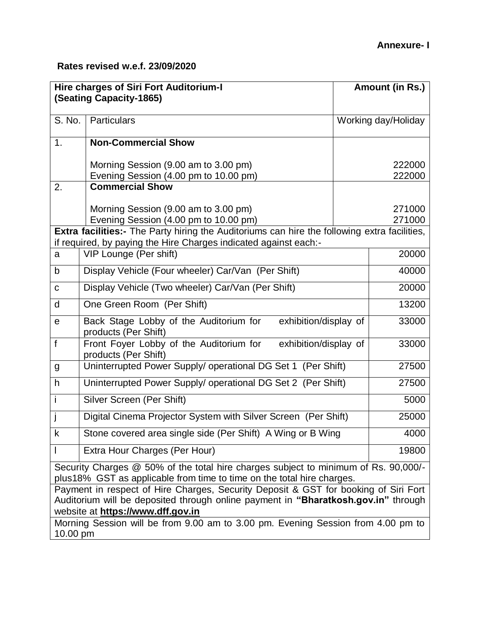| <b>Hire charges of Siri Fort Auditorium-I</b><br><b>(Seating Capacity-1865)</b>                                                                               |                                                                                              | Amount (in Rs.) |                     |  |
|---------------------------------------------------------------------------------------------------------------------------------------------------------------|----------------------------------------------------------------------------------------------|-----------------|---------------------|--|
|                                                                                                                                                               |                                                                                              |                 |                     |  |
| S. No.                                                                                                                                                        | Particulars                                                                                  |                 | Working day/Holiday |  |
| 1.                                                                                                                                                            | <b>Non-Commercial Show</b>                                                                   |                 |                     |  |
|                                                                                                                                                               | Morning Session (9.00 am to 3.00 pm)                                                         |                 | 222000              |  |
| 2.                                                                                                                                                            | Evening Session (4.00 pm to 10.00 pm)<br><b>Commercial Show</b>                              |                 | 222000              |  |
|                                                                                                                                                               |                                                                                              |                 |                     |  |
|                                                                                                                                                               | Morning Session (9.00 am to 3.00 pm)                                                         |                 | 271000              |  |
|                                                                                                                                                               | Evening Session (4.00 pm to 10.00 pm)                                                        |                 | 271000              |  |
|                                                                                                                                                               | Extra facilities:- The Party hiring the Auditoriums can hire the following extra facilities, |                 |                     |  |
|                                                                                                                                                               | if required, by paying the Hire Charges indicated against each:-                             |                 |                     |  |
| a                                                                                                                                                             | VIP Lounge (Per shift)                                                                       |                 | 20000               |  |
| b                                                                                                                                                             | Display Vehicle (Four wheeler) Car/Van (Per Shift)                                           |                 | 40000               |  |
| $\mathbf C$                                                                                                                                                   | Display Vehicle (Two wheeler) Car/Van (Per Shift)                                            |                 | 20000               |  |
| d                                                                                                                                                             | One Green Room (Per Shift)                                                                   |                 | 13200               |  |
| $\mathbf e$                                                                                                                                                   | Back Stage Lobby of the Auditorium for<br>exhibition/display of<br>products (Per Shift)      |                 | 33000               |  |
| f                                                                                                                                                             | Front Foyer Lobby of the Auditorium for<br>exhibition/display of<br>products (Per Shift)     |                 | 33000               |  |
| g                                                                                                                                                             | Uninterrupted Power Supply/ operational DG Set 1 (Per Shift)                                 |                 | 27500               |  |
| h                                                                                                                                                             | Uninterrupted Power Supply/ operational DG Set 2 (Per Shift)                                 |                 | 27500               |  |
| i                                                                                                                                                             | Silver Screen (Per Shift)                                                                    |                 | 5000                |  |
| j                                                                                                                                                             | Digital Cinema Projector System with Silver Screen (Per Shift)                               |                 | 25000               |  |
| k                                                                                                                                                             | Stone covered area single side (Per Shift) A Wing or B Wing                                  |                 | 4000                |  |
| $\mathsf{I}$                                                                                                                                                  | Extra Hour Charges (Per Hour)                                                                |                 | 19800               |  |
| Security Charges @ 50% of the total hire charges subject to minimum of Rs. 90,000/-<br>plus18% GST as applicable from time to time on the total hire charges. |                                                                                              |                 |                     |  |
| Payment in respect of Hire Charges, Security Deposit & GST for booking of Siri Fort                                                                           |                                                                                              |                 |                     |  |
| Auditorium will be deposited through online payment in "Bharatkosh.gov.in" through                                                                            |                                                                                              |                 |                     |  |
| website at https://www.dff.gov.in                                                                                                                             |                                                                                              |                 |                     |  |
| Morning Session will be from 9.00 am to 3.00 pm. Evening Session from 4.00 pm to<br>10.00 pm                                                                  |                                                                                              |                 |                     |  |
|                                                                                                                                                               |                                                                                              |                 |                     |  |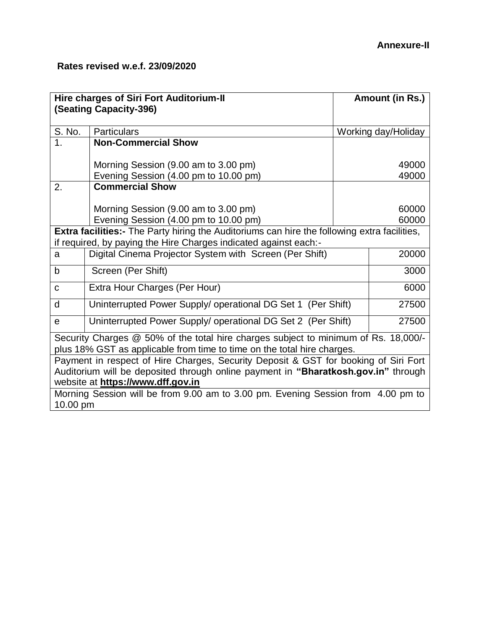| <b>Hire charges of Siri Fort Auditorium-II</b><br>(Seating Capacity-396)                                                                                                                                       |                                                                               | Amount (in Rs.)     |                |  |
|----------------------------------------------------------------------------------------------------------------------------------------------------------------------------------------------------------------|-------------------------------------------------------------------------------|---------------------|----------------|--|
| S. No.                                                                                                                                                                                                         | <b>Particulars</b>                                                            | Working day/Holiday |                |  |
| 1 <sub>1</sub>                                                                                                                                                                                                 | <b>Non-Commercial Show</b>                                                    |                     |                |  |
|                                                                                                                                                                                                                | Morning Session (9.00 am to 3.00 pm)<br>Evening Session (4.00 pm to 10.00 pm) | 49000<br>49000      |                |  |
| 2.                                                                                                                                                                                                             | <b>Commercial Show</b>                                                        |                     |                |  |
|                                                                                                                                                                                                                | Morning Session (9.00 am to 3.00 pm)<br>Evening Session (4.00 pm to 10.00 pm) |                     | 60000<br>60000 |  |
| <b>Extra facilities:-</b> The Party hiring the Auditoriums can hire the following extra facilities,                                                                                                            |                                                                               |                     |                |  |
| if required, by paying the Hire Charges indicated against each:-                                                                                                                                               |                                                                               |                     | 20000          |  |
| a                                                                                                                                                                                                              | Digital Cinema Projector System with Screen (Per Shift)                       |                     |                |  |
| b                                                                                                                                                                                                              | Screen (Per Shift)                                                            |                     | 3000           |  |
| $\mathbf C$                                                                                                                                                                                                    | Extra Hour Charges (Per Hour)                                                 |                     | 6000           |  |
| d                                                                                                                                                                                                              | Uninterrupted Power Supply/ operational DG Set 1 (Per Shift)                  |                     | 27500          |  |
| e                                                                                                                                                                                                              | Uninterrupted Power Supply/ operational DG Set 2 (Per Shift)                  |                     | 27500          |  |
| Security Charges @ 50% of the total hire charges subject to minimum of Rs. 18,000/-<br>plus 18% GST as applicable from time to time on the total hire charges.                                                 |                                                                               |                     |                |  |
| Payment in respect of Hire Charges, Security Deposit & GST for booking of Siri Fort<br>Auditorium will be deposited through online payment in "Bharatkosh.gov.in" through<br>website at https://www.dff.gov.in |                                                                               |                     |                |  |
| Morning Session will be from 9.00 am to 3.00 pm. Evening Session from 4.00 pm to<br>10.00 pm                                                                                                                   |                                                                               |                     |                |  |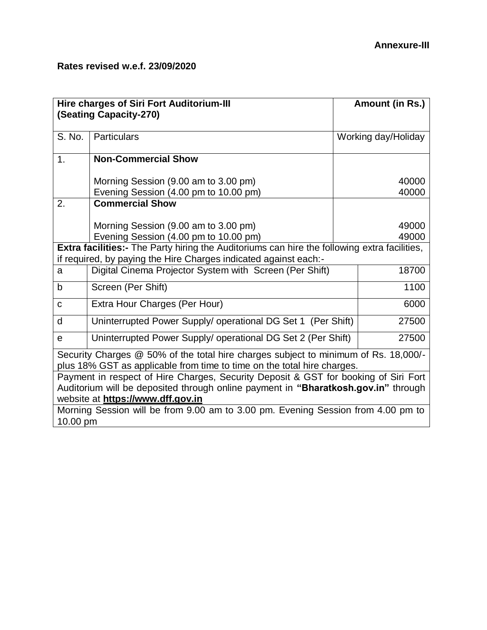| <b>Hire charges of Siri Fort Auditorium-III</b><br><b>(Seating Capacity-270)</b>                                                                                        |                                                                                                                                                                                                                | Amount (in Rs.)     |       |
|-------------------------------------------------------------------------------------------------------------------------------------------------------------------------|----------------------------------------------------------------------------------------------------------------------------------------------------------------------------------------------------------------|---------------------|-------|
| S. No.                                                                                                                                                                  | Particulars                                                                                                                                                                                                    | Working day/Holiday |       |
| 1.                                                                                                                                                                      | <b>Non-Commercial Show</b>                                                                                                                                                                                     |                     |       |
|                                                                                                                                                                         | Morning Session (9.00 am to 3.00 pm)                                                                                                                                                                           |                     | 40000 |
|                                                                                                                                                                         | Evening Session (4.00 pm to 10.00 pm)                                                                                                                                                                          |                     | 40000 |
| 2.                                                                                                                                                                      | <b>Commercial Show</b>                                                                                                                                                                                         |                     |       |
|                                                                                                                                                                         | Morning Session (9.00 am to 3.00 pm)                                                                                                                                                                           |                     | 49000 |
|                                                                                                                                                                         | Evening Session (4.00 pm to 10.00 pm)                                                                                                                                                                          |                     | 49000 |
| <b>Extra facilities:-</b> The Party hiring the Auditoriums can hire the following extra facilities,<br>if required, by paying the Hire Charges indicated against each:- |                                                                                                                                                                                                                |                     |       |
| a                                                                                                                                                                       | Digital Cinema Projector System with Screen (Per Shift)                                                                                                                                                        |                     | 18700 |
| b                                                                                                                                                                       | Screen (Per Shift)                                                                                                                                                                                             |                     | 1100  |
| C                                                                                                                                                                       | Extra Hour Charges (Per Hour)                                                                                                                                                                                  |                     | 6000  |
| d                                                                                                                                                                       | Uninterrupted Power Supply/ operational DG Set 1 (Per Shift)                                                                                                                                                   |                     | 27500 |
| e                                                                                                                                                                       | Uninterrupted Power Supply/ operational DG Set 2 (Per Shift)                                                                                                                                                   |                     | 27500 |
| Security Charges @ 50% of the total hire charges subject to minimum of Rs. 18,000/-<br>plus 18% GST as applicable from time to time on the total hire charges.          |                                                                                                                                                                                                                |                     |       |
|                                                                                                                                                                         | Payment in respect of Hire Charges, Security Deposit & GST for booking of Siri Fort<br>Auditorium will be deposited through online payment in "Bharatkosh.gov.in" through<br>website at https://www.dff.gov.in |                     |       |
| 10.00 pm                                                                                                                                                                | Morning Session will be from 9.00 am to 3.00 pm. Evening Session from 4.00 pm to                                                                                                                               |                     |       |